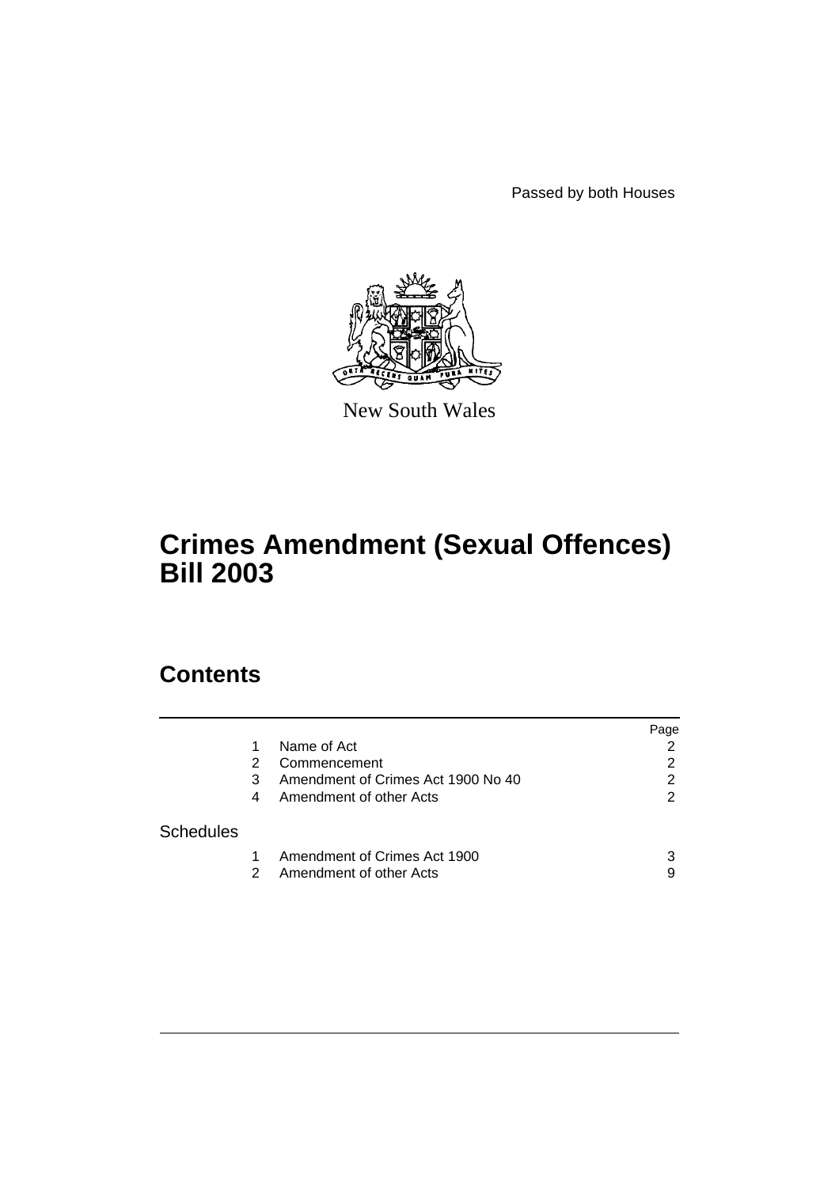Passed by both Houses



New South Wales

# **Crimes Amendment (Sexual Offences) Bill 2003**

# **Contents**

|                  |    |                                    | Page |
|------------------|----|------------------------------------|------|
|                  |    | Name of Act                        | 2    |
|                  | 2  | Commencement                       | 2    |
|                  | 3  | Amendment of Crimes Act 1900 No 40 | 2    |
|                  | 4  | Amendment of other Acts            | 2    |
| <b>Schedules</b> |    |                                    |      |
|                  |    | Amendment of Crimes Act 1900       | 3    |
|                  | 2. | Amendment of other Acts            | 9    |
|                  |    |                                    |      |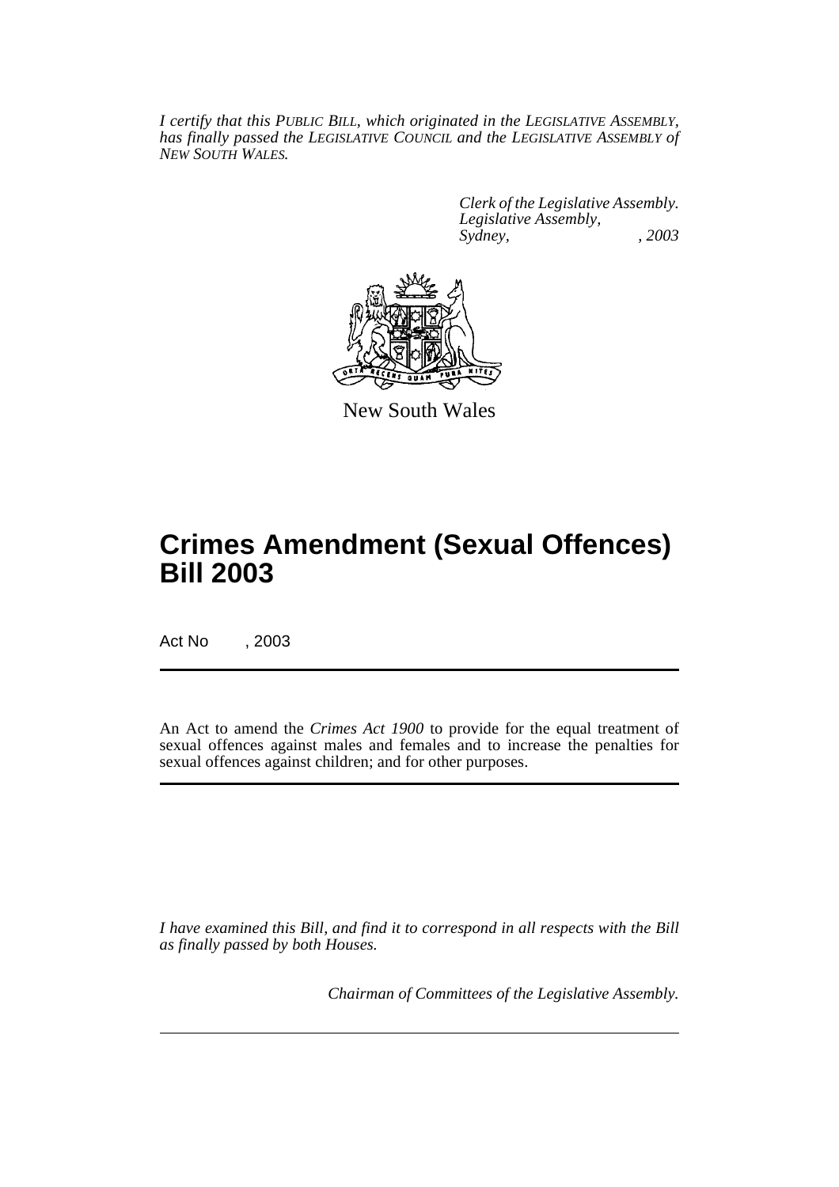*I certify that this PUBLIC BILL, which originated in the LEGISLATIVE ASSEMBLY, has finally passed the LEGISLATIVE COUNCIL and the LEGISLATIVE ASSEMBLY of NEW SOUTH WALES.*

> *Clerk of the Legislative Assembly. Legislative Assembly, Sydney, , 2003*



New South Wales

# **Crimes Amendment (Sexual Offences) Bill 2003**

Act No , 2003

An Act to amend the *Crimes Act 1900* to provide for the equal treatment of sexual offences against males and females and to increase the penalties for sexual offences against children; and for other purposes.

*I have examined this Bill, and find it to correspond in all respects with the Bill as finally passed by both Houses.*

*Chairman of Committees of the Legislative Assembly.*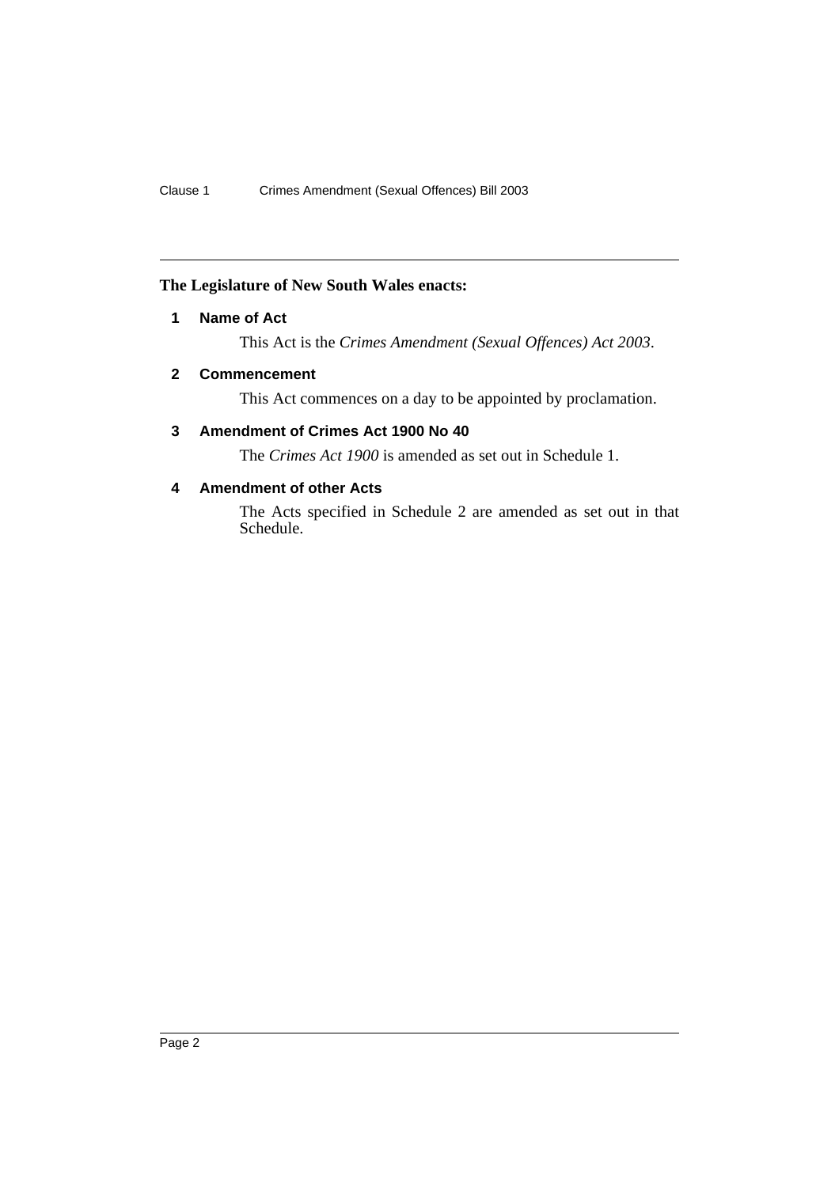### <span id="page-2-0"></span>**The Legislature of New South Wales enacts:**

### **1 Name of Act**

This Act is the *Crimes Amendment (Sexual Offences) Act 2003*.

### <span id="page-2-1"></span>**2 Commencement**

This Act commences on a day to be appointed by proclamation.

## <span id="page-2-2"></span>**3 Amendment of Crimes Act 1900 No 40**

The *Crimes Act 1900* is amended as set out in Schedule 1.

## <span id="page-2-3"></span>**4 Amendment of other Acts**

The Acts specified in Schedule 2 are amended as set out in that Schedule.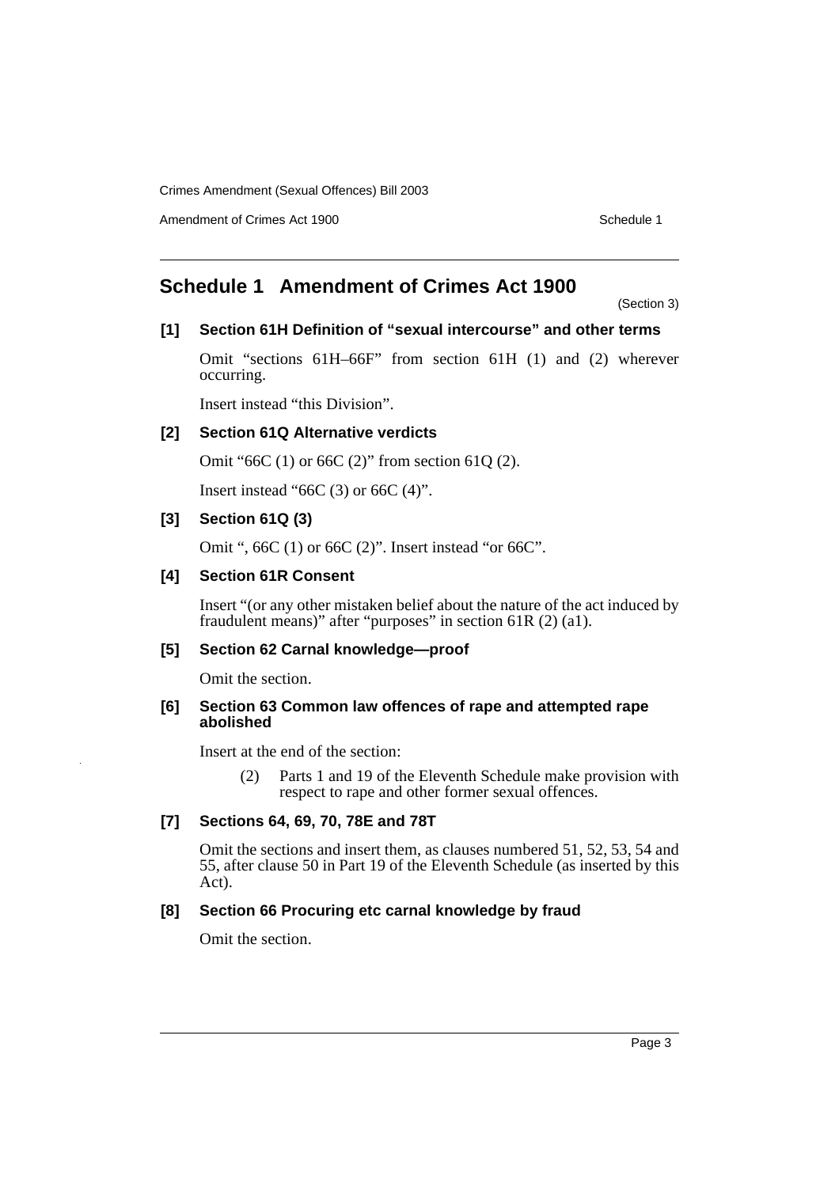Amendment of Crimes Act 1900 New York 1900 New York 1900 New York 1900 Schedule 1

# <span id="page-3-0"></span>**Schedule 1 Amendment of Crimes Act 1900**

(Section 3)

#### **[1] Section 61H Definition of "sexual intercourse" and other terms**

Omit "sections 61H–66F" from section 61H (1) and (2) wherever occurring.

Insert instead "this Division".

#### **[2] Section 61Q Alternative verdicts**

Omit "66C (1) or 66C (2)" from section 61Q (2).

Insert instead " $66C(3)$  or  $66C(4)$ ".

#### **[3] Section 61Q (3)**

Omit ", 66C (1) or 66C (2)". Insert instead "or 66C".

#### **[4] Section 61R Consent**

Insert "(or any other mistaken belief about the nature of the act induced by fraudulent means)" after "purposes" in section 61R (2) (a1).

#### **[5] Section 62 Carnal knowledge—proof**

Omit the section.

#### **[6] Section 63 Common law offences of rape and attempted rape abolished**

Insert at the end of the section:

(2) Parts 1 and 19 of the Eleventh Schedule make provision with respect to rape and other former sexual offences.

#### **[7] Sections 64, 69, 70, 78E and 78T**

Omit the sections and insert them, as clauses numbered 51, 52, 53, 54 and 55, after clause 50 in Part 19 of the Eleventh Schedule (as inserted by this Act).

### **[8] Section 66 Procuring etc carnal knowledge by fraud**

Omit the section.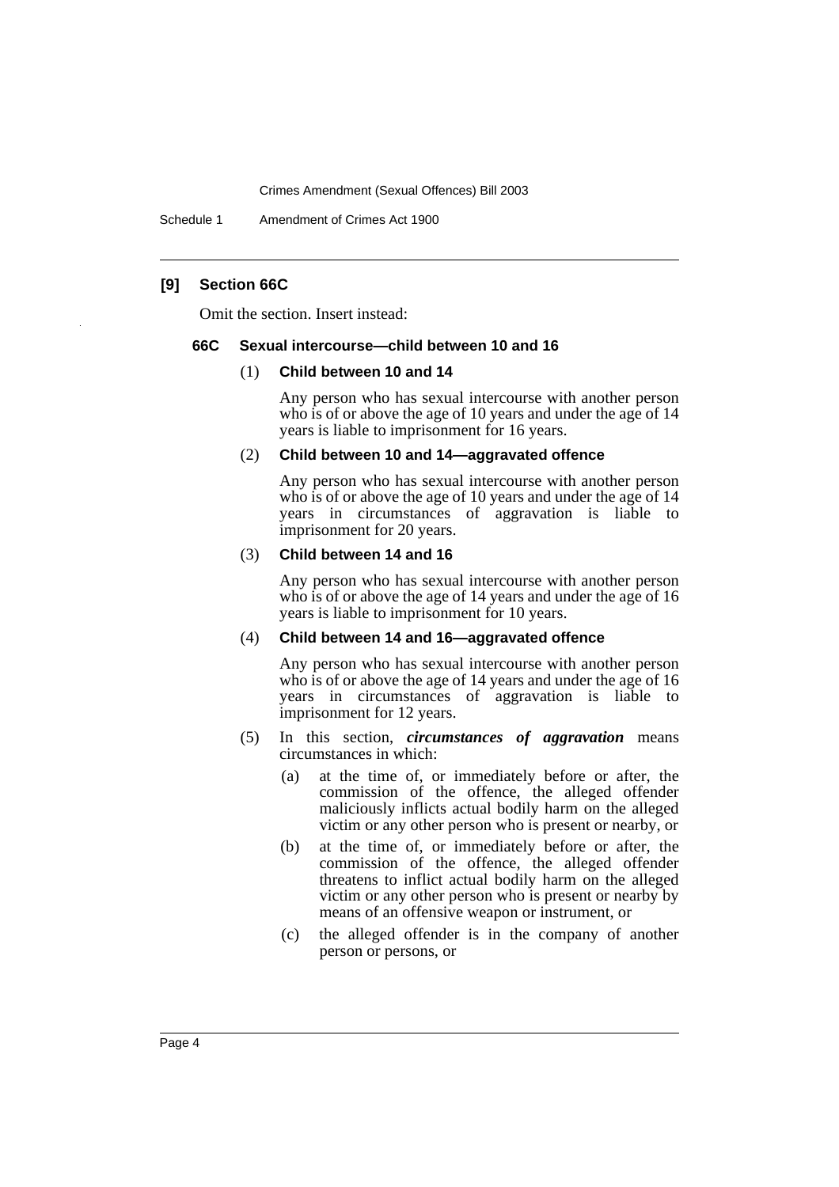Schedule 1 Amendment of Crimes Act 1900

#### **[9] Section 66C**

Omit the section. Insert instead:

#### **66C Sexual intercourse—child between 10 and 16**

#### (1) **Child between 10 and 14**

Any person who has sexual intercourse with another person who is of or above the age of 10 years and under the age of 14 years is liable to imprisonment for 16 years.

#### (2) **Child between 10 and 14—aggravated offence**

Any person who has sexual intercourse with another person who is of or above the age of 10 years and under the age of 14 years in circumstances of aggravation is liable to imprisonment for 20 years.

#### (3) **Child between 14 and 16**

Any person who has sexual intercourse with another person who is of or above the age of 14 years and under the age of 16 years is liable to imprisonment for 10 years.

#### (4) **Child between 14 and 16—aggravated offence**

Any person who has sexual intercourse with another person who is of or above the age of 14 years and under the age of 16 years in circumstances of aggravation is liable to imprisonment for 12 years.

- (5) In this section, *circumstances of aggravation* means circumstances in which:
	- (a) at the time of, or immediately before or after, the commission of the offence, the alleged offender maliciously inflicts actual bodily harm on the alleged victim or any other person who is present or nearby, or
	- (b) at the time of, or immediately before or after, the commission of the offence, the alleged offender threatens to inflict actual bodily harm on the alleged victim or any other person who is present or nearby by means of an offensive weapon or instrument, or
	- (c) the alleged offender is in the company of another person or persons, or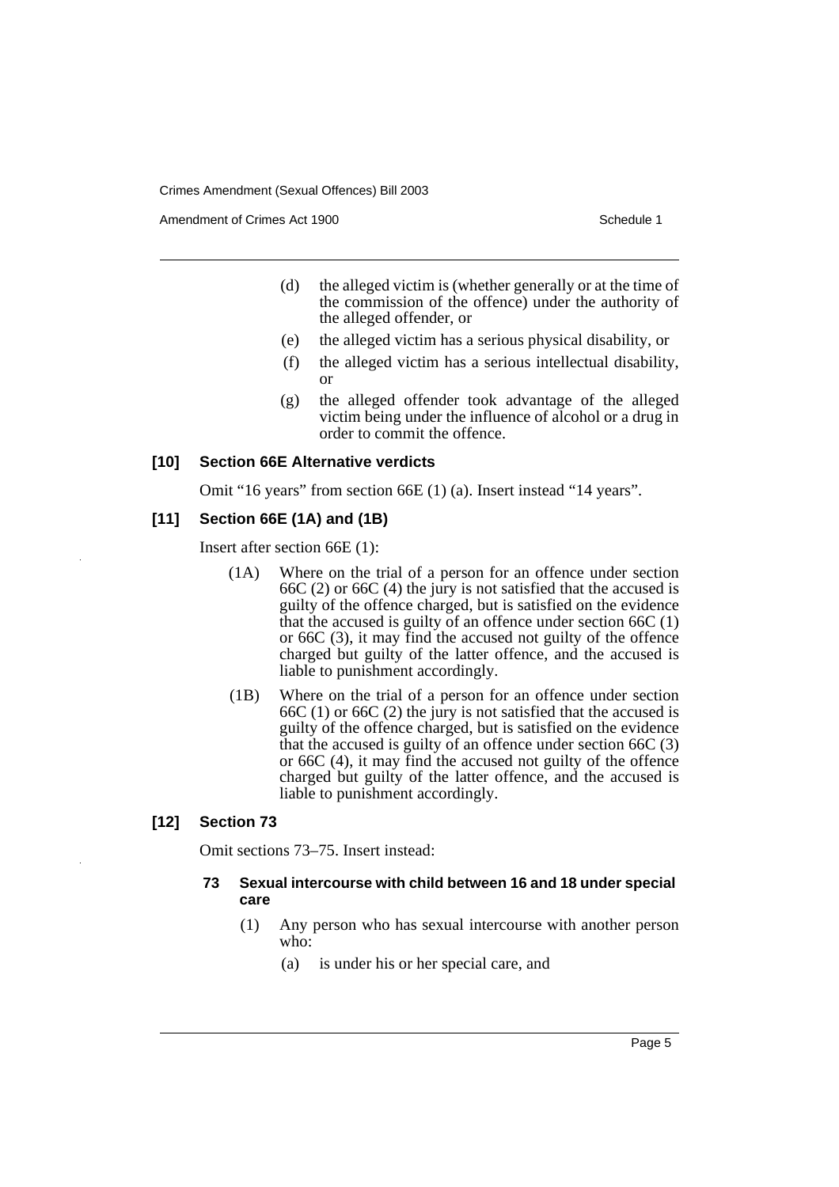Amendment of Crimes Act 1900 and the control of the Schedule 1

- (d) the alleged victim is (whether generally or at the time of the commission of the offence) under the authority of the alleged offender, or
- (e) the alleged victim has a serious physical disability, or
- (f) the alleged victim has a serious intellectual disability, or
- (g) the alleged offender took advantage of the alleged victim being under the influence of alcohol or a drug in order to commit the offence.

#### **[10] Section 66E Alternative verdicts**

Omit "16 years" from section 66E (1) (a). Insert instead "14 years".

#### **[11] Section 66E (1A) and (1B)**

Insert after section 66E (1):

- (1A) Where on the trial of a person for an offence under section 66C (2) or 66C (4) the jury is not satisfied that the accused is guilty of the offence charged, but is satisfied on the evidence that the accused is guilty of an offence under section 66C (1) or 66C (3), it may find the accused not guilty of the offence charged but guilty of the latter offence, and the accused is liable to punishment accordingly.
- (1B) Where on the trial of a person for an offence under section 66C (1) or 66C (2) the jury is not satisfied that the accused is guilty of the offence charged, but is satisfied on the evidence that the accused is guilty of an offence under section 66C (3) or 66C (4), it may find the accused not guilty of the offence charged but guilty of the latter offence, and the accused is liable to punishment accordingly.

#### **[12] Section 73**

Omit sections 73–75. Insert instead:

#### **73 Sexual intercourse with child between 16 and 18 under special care**

- (1) Any person who has sexual intercourse with another person who:
	- (a) is under his or her special care, and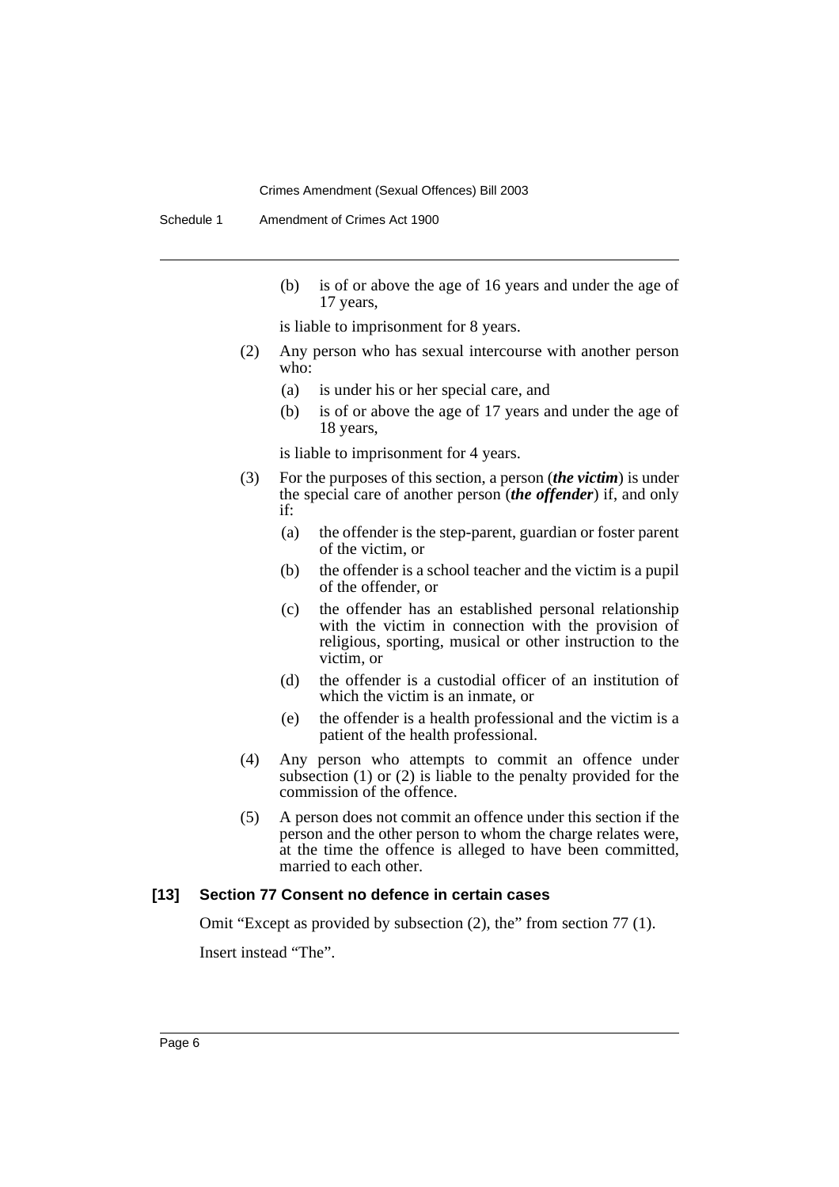Schedule 1 Amendment of Crimes Act 1900

(b) is of or above the age of 16 years and under the age of 17 years,

is liable to imprisonment for 8 years.

- (2) Any person who has sexual intercourse with another person who:
	- (a) is under his or her special care, and
	- (b) is of or above the age of 17 years and under the age of 18 years,

is liable to imprisonment for 4 years.

- (3) For the purposes of this section, a person (*the victim*) is under the special care of another person (*the offender*) if, and only if:
	- (a) the offender is the step-parent, guardian or foster parent of the victim, or
	- (b) the offender is a school teacher and the victim is a pupil of the offender, or
	- (c) the offender has an established personal relationship with the victim in connection with the provision of religious, sporting, musical or other instruction to the victim, or
	- (d) the offender is a custodial officer of an institution of which the victim is an inmate, or
	- (e) the offender is a health professional and the victim is a patient of the health professional.
- (4) Any person who attempts to commit an offence under subsection (1) or (2) is liable to the penalty provided for the commission of the offence.
- (5) A person does not commit an offence under this section if the person and the other person to whom the charge relates were, at the time the offence is alleged to have been committed, married to each other.

#### **[13] Section 77 Consent no defence in certain cases**

Omit "Except as provided by subsection (2), the" from section 77 (1).

Insert instead "The".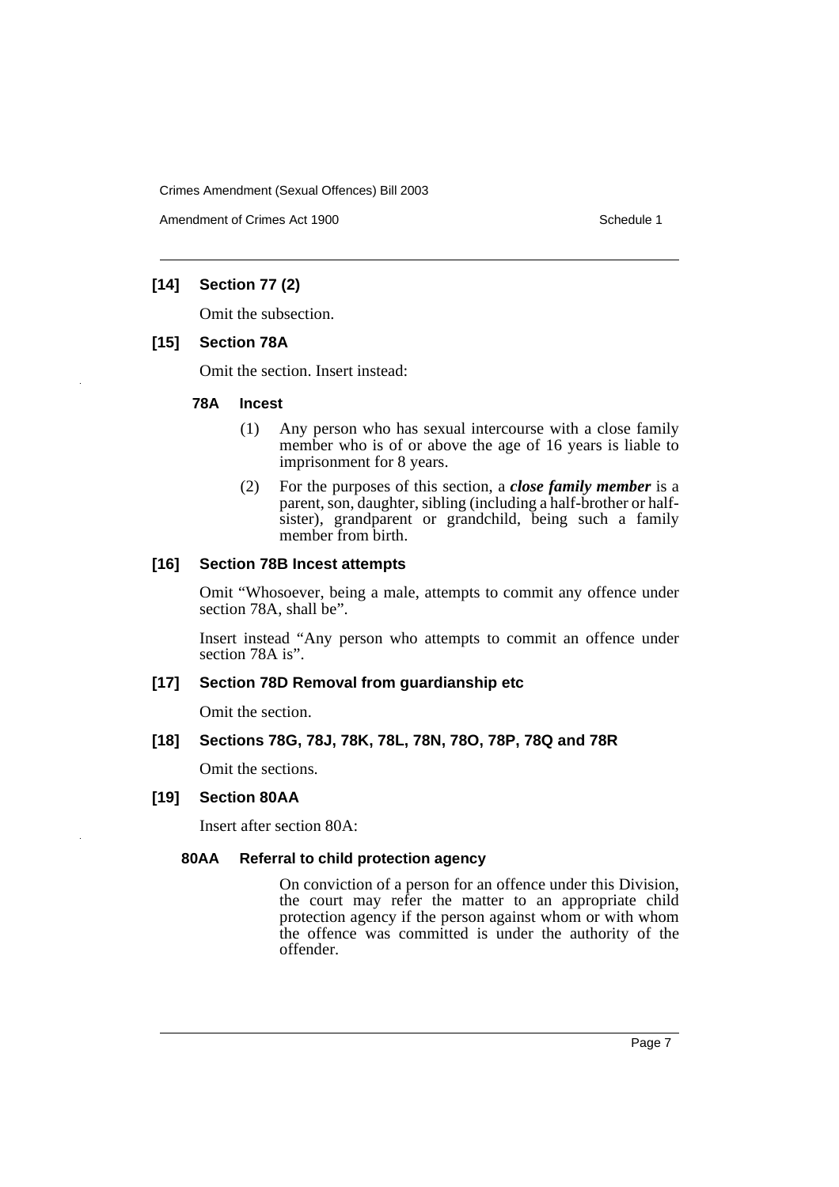Amendment of Crimes Act 1900 and the control of the Schedule 1

### **[14] Section 77 (2)**

Omit the subsection.

#### **[15] Section 78A**

Omit the section. Insert instead:

#### **78A Incest**

- (1) Any person who has sexual intercourse with a close family member who is of or above the age of 16 years is liable to imprisonment for 8 years.
- (2) For the purposes of this section, a *close family member* is a parent, son, daughter, sibling (including a half-brother or halfsister), grandparent or grandchild, being such a family member from birth.

#### **[16] Section 78B Incest attempts**

Omit "Whosoever, being a male, attempts to commit any offence under section 78A, shall be".

Insert instead "Any person who attempts to commit an offence under section 78A is".

#### **[17] Section 78D Removal from guardianship etc**

Omit the section.

#### **[18] Sections 78G, 78J, 78K, 78L, 78N, 78O, 78P, 78Q and 78R**

Omit the sections.

#### **[19] Section 80AA**

Insert after section 80A:

#### **80AA Referral to child protection agency**

On conviction of a person for an offence under this Division, the court may refer the matter to an appropriate child protection agency if the person against whom or with whom the offence was committed is under the authority of the offender.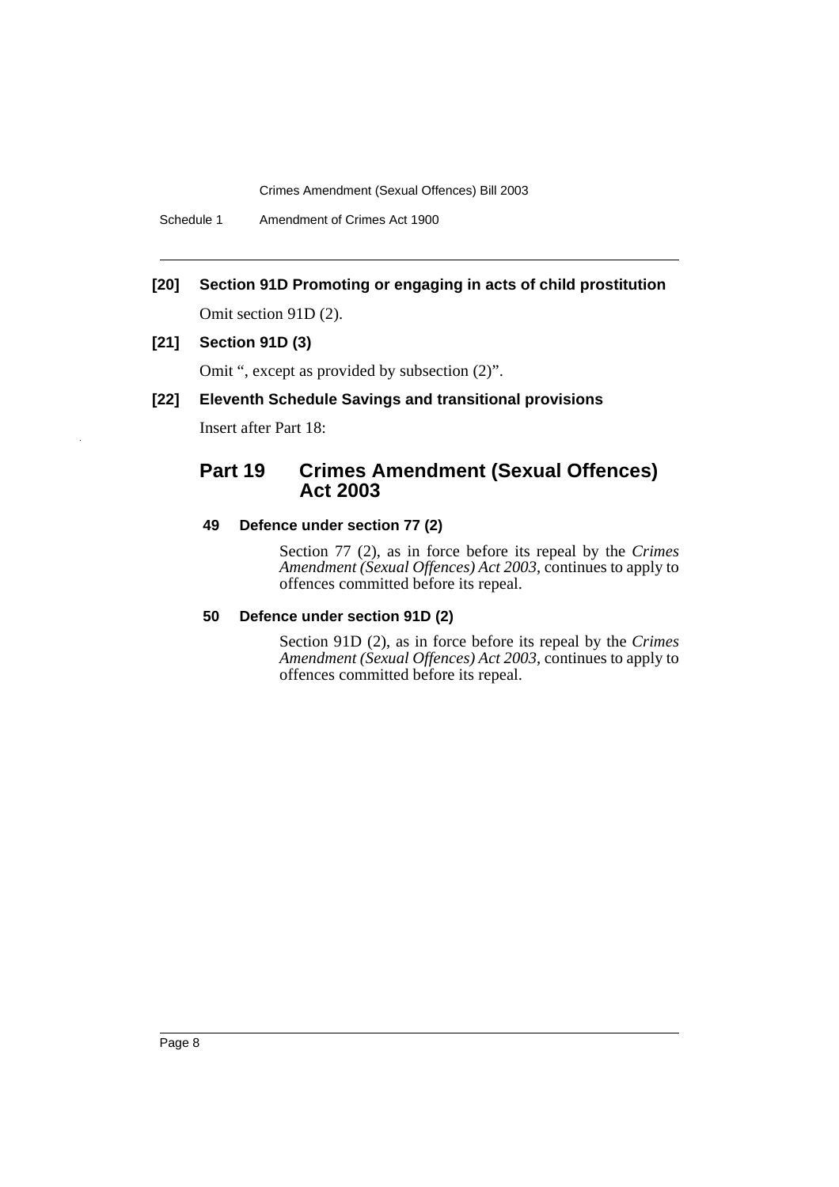Schedule 1 Amendment of Crimes Act 1900

**[20] Section 91D Promoting or engaging in acts of child prostitution**

Omit section 91D (2).

#### **[21] Section 91D (3)**

Omit ", except as provided by subsection (2)".

#### **[22] Eleventh Schedule Savings and transitional provisions**

Insert after Part 18:

# **Part 19 Crimes Amendment (Sexual Offences) Act 2003**

#### **49 Defence under section 77 (2)**

Section 77 (2), as in force before its repeal by the *Crimes Amendment (Sexual Offences) Act 2003*, continues to apply to offences committed before its repeal.

#### **50 Defence under section 91D (2)**

Section 91D (2), as in force before its repeal by the *Crimes Amendment (Sexual Offences) Act 2003*, continues to apply to offences committed before its repeal.